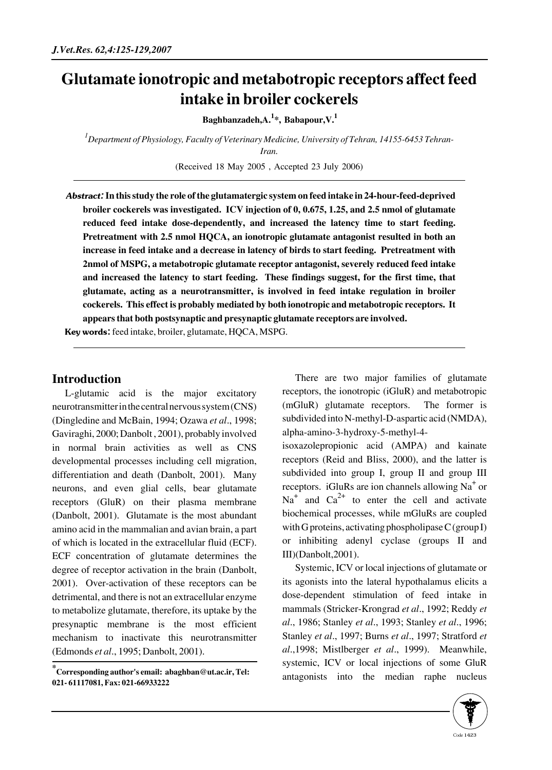## **Glutamate ionotropic and metabotropic receptors affect feed intake in broiler cockerels**

**Baghbanzadeh,A.<sup>1</sup> \*, Babapour,V.<sup>1</sup>**

*1 Department of Physiology, Faculty of Veterinary Medicine, University of Tehran, 14155-6453 Tehran-Iran.*

(Received 18 May 2005 , Accepted 23 July 2006)

Abstract:**In this study the role of the glutamatergic system on feed intake in 24-hour-feed-deprived broiler cockerels was investigated. ICV injection of 0, 0.675, 1.25, and 2.5 nmol of glutamate reduced feed intake dose-dependently, and increased the latency time to start feeding. Pretreatment with 2.5 nmol HQCA, an ionotropic glutamate antagonist resulted in both an increase in feed intake and a decrease in latency of birds to start feeding. Pretreatment with 2nmol of MSPG, a metabotropic glutamate receptor antagonist, severely reduced feed intake and increased the latency to start feeding. These findings suggest, for the first time, that glutamate, acting as a neurotransmitter, is involved in feed intake regulation in broiler cockerels. This effect is probably mediated by both ionotropic and metabotropic receptors. It appears that both postsynaptic and presynaptic glutamate receptors are involved.**

Key words: feed intake, broiler, glutamate, HQCA, MSPG.

## **Introduction**

L-glutamic acid is the major excitatory neurotransmitter in the central nervous system (CNS) (Dingledine and McBain, 1994; Ozawa *et al*., 1998; Gaviraghi, 2000; Danbolt , 2001), probably involved in normal brain activities as well as CNS developmental processes including cell migration, differentiation and death (Danbolt, 2001). Many neurons, and even glial cells, bear glutamate receptors (GluR) on their plasma membrane (Danbolt, 2001). Glutamate is the most abundant amino acid in the mammalian and avian brain, a part of which is located in the extracellular fluid (ECF). ECF concentration of glutamate determines the degree of receptor activation in the brain (Danbolt, 2001). Over-activation of these receptors can be detrimental, and there is not an extracellular enzyme to metabolize glutamate, therefore, its uptake by the presynaptic membrane is the most efficient mechanism to inactivate this neurotransmitter (Edmonds *et al*., 1995; Danbolt, 2001).

There are two major families of glutamate receptors, the ionotropic (iGluR) and metabotropic (mGluR) glutamate receptors. The former is subdivided into N-methyl-D-aspartic acid (NMDA), alpha-amino-3-hydroxy-5-methyl-4-

isoxazolepropionic acid (AMPA) and kainate receptors (Reid and Bliss, 2000), and the latter is subdivided into group I, group II and group III receptors. iGluRs are ion channels allowing Na<sup>+</sup> or  $Na<sup>+</sup>$  and  $Ca<sup>2+</sup>$  to enter the cell and activate biochemical processes, while mGluRs are coupled with G proteins, activating phospholipase C (group I) or inhibiting adenyl cyclase (groups II and III)(Danbolt,2001).

Systemic, ICV or local injections of glutamate or its agonists into the lateral hypothalamus elicits a dose-dependent stimulation of feed intake in mammals (Stricker-Krongrad *et al*., 1992; Reddy *et al*., 1986; Stanley *et al*., 1993; Stanley *et al*., 1996; Stanley *et al*., 1997; Burns *et al*., 1997; Stratford *et al*.,1998; Mistlberger *et al*., 1999). Meanwhile, systemic, ICV or local injections of some GluR antagonists into the median raphe nucleus



**<sup>\*</sup>Corresponding author's email: abaghban@ut.ac.ir, Tel: 021- 61117081, Fax: 021-66933222**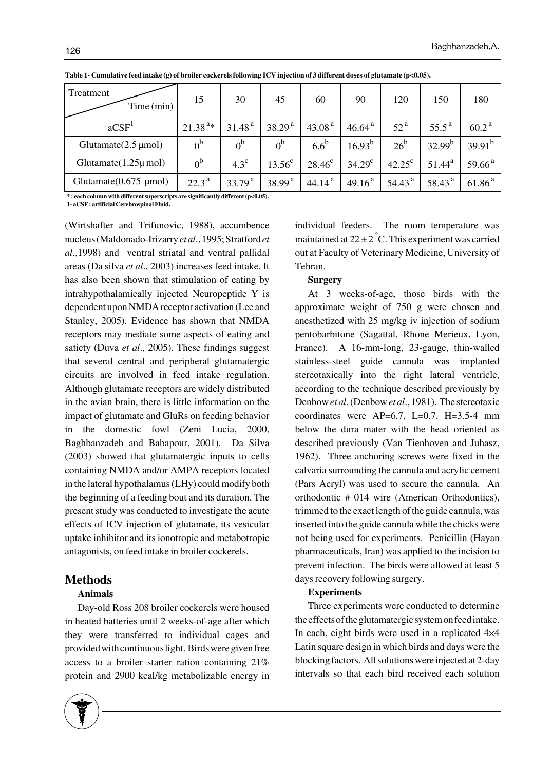| Treatment<br>Time (min)                    | 15                | 30                 | 45                 | 60                 | 90                 | 120                | 150                | 180                |
|--------------------------------------------|-------------------|--------------------|--------------------|--------------------|--------------------|--------------------|--------------------|--------------------|
| aCSF <sup>1</sup>                          | $21.38^{a*}$      | 31.48 <sup>a</sup> | 38.29 <sup>a</sup> | 43.08 <sup>a</sup> | 46.64 <sup>a</sup> | 52 <sup>a</sup>    | $55.5^{\text{a}}$  | 60.2 <sup>a</sup>  |
| Glutamate $(2.5 \,\mu\text{mol})$          | 0 <sup>b</sup>    | 0 <sup>b</sup>     | 0 <sup>b</sup>     | $6.6^b$            | $16.93^{b}$        | $26^{\rm b}$       | $32.99^{b}$        | $39.91^{b}$        |
| Glutamate $(1.25\mu$ mol)                  | $0^{\rm b}$       | $4.3^{\circ}$      | $13.56^c$          | $28.46^{\circ}$    | $34.29^{\circ}$    | $42.25^{\circ}$    | $51.44^a$          | 59.66 <sup>a</sup> |
| Glutamate $(0.675 \text{ \mu} \text{mol})$ | $22.3^{\text{a}}$ | 33.79 <sup>a</sup> | 38.99 <sup>a</sup> | 44.14 <sup>a</sup> | 49.16 <sup>a</sup> | 54.43 <sup>a</sup> | 58.43 <sup>a</sup> | 61.86 <sup>a</sup> |

**Table 1- Cumulative feed intake (g) of broiler cockerels following ICV injection of 3 different doses of glutamate (p<0.05).**

**\* : each column with different superscripts are significantly different (p<0.05).**

**1- aCSF : artificial Cerebrospinal Fluid.**

(Wirtshafter and Trifunovic, 1988), accumbence nucleus (Maldonado-Irizarry *et al*., 1995; Stratford *et al*.,1998) and ventral striatal and ventral pallidal areas (Da silva *et al*., 2003) increases feed intake. It has also been shown that stimulation of eating by intrahypothalamically injected Neuropeptide Y is dependent upon NMDA receptor activation (Lee and Stanley, 2005). Evidence has shown that NMDA receptors may mediate some aspects of eating and satiety (Duva *et al*., 2005). These findings suggest that several central and peripheral glutamatergic circuits are involved in feed intake regulation. Although glutamate receptors are widely distributed in the avian brain, there is little information on the impact of glutamate and GluRs on feeding behavior in the domestic fowl (Zeni Lucia, 2000, Baghbanzadeh and Babapour, 2001). Da Silva (2003) showed that glutamatergic inputs to cells containing NMDA and/or AMPA receptors located in the lateral hypothalamus (LHy) could modify both the beginning of a feeding bout and its duration. The present study was conducted to investigate the acute effects of ICV injection of glutamate, its vesicular uptake inhibitor and its ionotropic and metabotropic antagonists, on feed intake in broiler cockerels.

### **Methods**

#### **Animals**

Day-old Ross 208 broiler cockerels were housed in heated batteries until 2 weeks-of-age after which they were transferred to individual cages and provided with continuous light. Birds were given free access to a broiler starter ration containing 21% protein and 2900 kcal/kg metabolizable energy in



individual feeders. The room temperature was maintained at  $22 \pm 2^{\degree}$ C. This experiment was carried out at Faculty of Veterinary Medicine, University of Tehran.

#### **Surgery**

At 3 weeks-of-age, those birds with the approximate weight of 750 g were chosen and anesthetized with 25 mg/kg iv injection of sodium pentobarbitone (Sagattal, Rhone Merieux, Lyon, France). A 16-mm-long, 23-gauge, thin-walled stainless-steel guide cannula was implanted stereotaxically into the right lateral ventricle, according to the technique described previously by Denbow *et al*. (Denbow *et al*., 1981). The stereotaxic coordinates were  $AP=6.7$ ,  $L=0.7$ .  $H=3.5-4$  mm below the dura mater with the head oriented as described previously (Van Tienhoven and Juhasz, 1962). Three anchoring screws were fixed in the calvaria surrounding the cannula and acrylic cement (Pars Acryl) was used to secure the cannula. An orthodontic # 014 wire (American Orthodontics), trimmed to the exact length of the guide cannula, was inserted into the guide cannula while the chicks were not being used for experiments. Penicillin (Hayan pharmaceuticals, Iran) was applied to the incision to prevent infection. The birds were allowed at least 5 days recovery following surgery.

#### **Experiments**

Three experiments were conducted to determine the effects of the glutamatergic system on feed intake. In each, eight birds were used in a replicated 4×4 Latin square design in which birds and days were the blocking factors. All solutions were injected at 2-day intervals so that each bird received each solution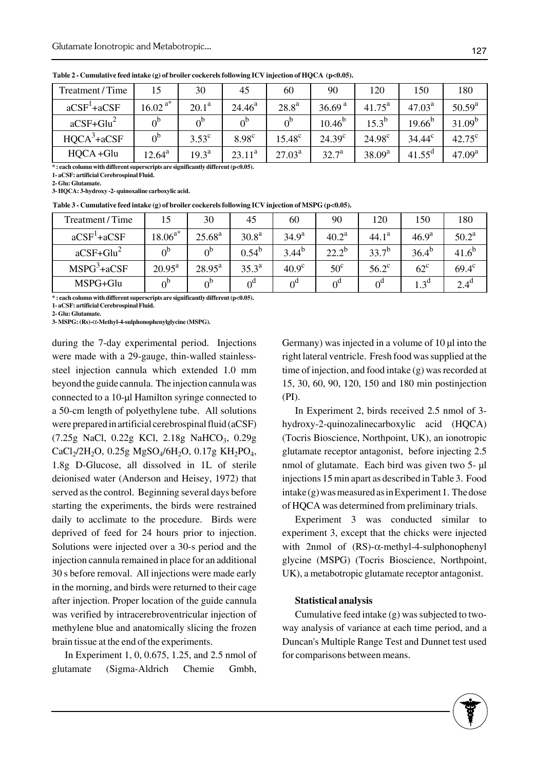| Treatment / Time | 15             | 30                | 45           | 60              | 90                 | 120             | 150                | 180                |
|------------------|----------------|-------------------|--------------|-----------------|--------------------|-----------------|--------------------|--------------------|
| $aCSF1+aCSF$     | $16.02^{a*}$   | 20.1 <sup>a</sup> | $24.46^a$    | $28.8^{\rm a}$  | 36.69 <sup>a</sup> | $41.75^{\rm a}$ | $47.03^{\text{a}}$ | $50.59^{a}$        |
| $aCSF+Glu^2$     | 0 <sup>b</sup> | $0^{\rm b}$       | $0^{\circ}$  | $0^{\circ}$     | $10.46^{b}$        | $15.3^{b}$      | $19.66^{b}$        | $31.09^{b}$        |
| $HQCA^3 + aCSF$  | 0 <sup>b</sup> | $3.53^{\circ}$    | $8.98^\circ$ | $15.48^{\circ}$ | $24.39^{\circ}$    | $24.98^{\circ}$ | $34.44^c$          | $42.75^{\circ}$    |
| $HQCA + Glu$     | $12.64^a$      | $19.3^{\text{a}}$ | $23.11^a$    | $27.03^a$       | $32.7^a$           | $38.09^{a}$     | $41.55^{\rm d}$    | 47.09 <sup>a</sup> |

**Table 2 - Cumulative feed intake (g) of broiler cockerels following ICV injection of HQCA (p<0.05).**

**\* : each column with different superscripts are significantly different (p<0.05).**

**1- aCSF: artificial Cerebrospinal Fluid.**

**2- Glu: Glutamate.**

**3- HQCA: 3-hydroxy -2- quinoxaline carboxylic acid.**

**Table 3 - Cumulative feed intake (g) of broiler cockerels following ICV injection of MSPG (p<0.05).**

| Treatment/Time |                    | 30                 | 45                | 60                  | 90           | 120               | 150               | 180               |
|----------------|--------------------|--------------------|-------------------|---------------------|--------------|-------------------|-------------------|-------------------|
| $aCSF' + aCSF$ | $.18.06^{a*}$      | $25.68^{a}$        | 30.8 <sup>a</sup> | 34.9 <sup>a</sup>   | $40.2^a$     | 44.1 <sup>a</sup> | 46.9 <sup>a</sup> | $50.2^a$          |
| $aCSF + Glu2$  | $\alpha^{b}$       | $0^{\text{b}}$     | $0.54^{b}$        | $3.44^{b}$          | $22.2^{b}$   | $33.7^{b}$        | $36.4^{b}$        | 41.6 <sup>c</sup> |
| $MSPG3+aCSF$   | $20.95^{\text{a}}$ | $28.95^{\text{a}}$ | $35.3^{\rm a}$    | 40.9 <sup>c</sup>   | $50^{\circ}$ | $56.2^{\circ}$    | $62^{\circ}$      | $69.4^{\circ}$    |
| MSPG+Glu       | $\Lambda^{\rm b}$  | $0^{\text{b}}$     |                   | $\alpha^{\text{d}}$ | $0^{\circ}$  | ∩ʻ                | 1.3 <sup>d</sup>  | $2.4^{\circ}$     |

**\* : each column with different superscripts are significantly different (p<0.05).**

**1- aCSF: artificial Cerebrospinal Fluid.**

**2- Glu: Glutamate.**

**3- MSPG: (Rs)-**α**-Methyl-4-sulphonophenylglycine (MSPG).**

during the 7-day experimental period. Injections were made with a 29-gauge, thin-walled stainlesssteel injection cannula which extended 1.0 mm beyond the guide cannula. The injection cannula was connected to a 10-μl Hamilton syringe connected to a 50-cm length of polyethylene tube. All solutions were prepared in artificial cerebrospinal fluid (aCSF)  $(7.25g$  NaCl,  $0.22g$  KCl,  $2.18g$  NaHCO<sub>3</sub>,  $0.29g$  $CaCl<sub>2</sub>/2H<sub>2</sub>O$ , 0.25g MgSO<sub>4</sub>/6H<sub>2</sub>O, 0.17g KH<sub>2</sub>PO<sub>4</sub>, 1.8g D-Glucose, all dissolved in 1L of sterile deionised water (Anderson and Heisey, 1972) that served as the control. Beginning several days before starting the experiments, the birds were restrained daily to acclimate to the procedure. Birds were deprived of feed for 24 hours prior to injection. Solutions were injected over a 30-s period and the injection cannula remained in place for an additional 30 s before removal. All injections were made early in the morning, and birds were returned to their cage after injection. Proper location of the guide cannula was verified by intracerebroventricular injection of methylene blue and anatomically slicing the frozen brain tissue at the end of the experiments.

In Experiment 1, 0, 0.675, 1.25, and 2.5 nmol of glutamate (Sigma-Aldrich Chemie Gmbh,

Germany) was injected in a volume of 10 μl into the right lateral ventricle. Fresh food was supplied at the time of injection, and food intake (g) was recorded at 15, 30, 60, 90, 120, 150 and 180 min postinjection (PI).

In Experiment 2, birds received 2.5 nmol of 3 hydroxy-2-quinozalinecarboxylic acid (HQCA) (Tocris Bioscience, Northpoint, UK), an ionotropic glutamate receptor antagonist, before injecting 2.5 nmol of glutamate. Each bird was given two 5- μl injections 15 min apart as described in Table 3. Food intake (g) was measured as in Experiment 1. The dose of HQCA was determined from preliminary trials.

Experiment 3 was conducted similar to experiment 3, except that the chicks were injected with 2nmol of (RS)-α-methyl-4-sulphonophenyl glycine (MSPG) (Tocris Bioscience, Northpoint, UK), a metabotropic glutamate receptor antagonist.

#### **Statistical analysis**

Cumulative feed intake (g) was subjected to twoway analysis of variance at each time period, and a Duncan's Multiple Range Test and Dunnet test used for comparisons between means.



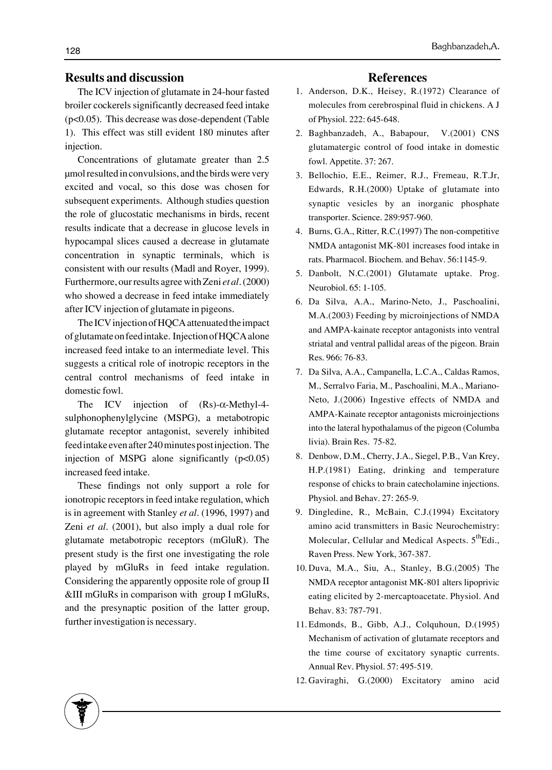### **Results and discussion**

The ICV injection of glutamate in 24-hour fasted broiler cockerels significantly decreased feed intake (p<0.05). This decrease was dose-dependent (Table 1). This effect was still evident 180 minutes after injection.

Concentrations of glutamate greater than 2.5 μmol resulted in convulsions, and the birds were very excited and vocal, so this dose was chosen for subsequent experiments. Although studies question the role of glucostatic mechanisms in birds, recent results indicate that a decrease in glucose levels in hypocampal slices caused a decrease in glutamate concentration in synaptic terminals, which is consistent with our results (Madl and Royer, 1999). Furthermore, our results agree with Zeni *et al*. (2000) who showed a decrease in feed intake immediately after ICV injection of glutamate in pigeons.

The ICV injection of HQCA attenuated the impact of glutamate on feed intake. Injection of HQCA alone increased feed intake to an intermediate level. This suggests a critical role of inotropic receptors in the central control mechanisms of feed intake in domestic fowl.

The ICV injection of (Rs)-α-Methyl-4 sulphonophenylglycine (MSPG), a metabotropic glutamate receptor antagonist, severely inhibited feed intake even after 240 minutes post injection. The injection of MSPG alone significantly  $(p<0.05)$ increased feed intake.

These findings not only support a role for ionotropic receptors in feed intake regulation, which is in agreement with Stanley *et al*. (1996, 1997) and Zeni *et al*. (2001), but also imply a dual role for glutamate metabotropic receptors (mGluR). The present study is the first one investigating the role played by mGluRs in feed intake regulation. Considering the apparently opposite role of group II &III mGluRs in comparison with group I mGluRs, and the presynaptic position of the latter group, further investigation is necessary.

#### **References**

- 1. Anderson, D.K., Heisey, R.(1972) Clearance of molecules from cerebrospinal fluid in chickens. A J of Physiol. 222: 645-648.
- 2. Baghbanzadeh, A., Babapour, V.(2001) CNS glutamatergic control of food intake in domestic fowl. Appetite. 37: 267.
- Bellochio, E.E., Reimer, R.J., Fremeau, R.T.Jr, 3. Edwards, R.H.(2000) Uptake of glutamate into synaptic vesicles by an inorganic phosphate transporter. Science. 289:957-960.
- 4. Burns, G.A., Ritter, R.C.(1997) The non-competitive NMDA antagonist MK-801 increases food intake in rats. Pharmacol. Biochem. and Behav. 56:1145-9.
- 5. Danbolt, N.C.(2001) Glutamate uptake. Prog. Neurobiol. 65: 1-105.
- 6. Da Silva, A.A., Marino-Neto, J., Paschoalini, M.A.(2003) Feeding by microinjections of NMDA and AMPA-kainate receptor antagonists into ventral striatal and ventral pallidal areas of the pigeon. Brain Res. 966: 76-83.
- Da Silva, A.A., Campanella, L.C.A., Caldas Ramos, 7. M., Serralvo Faria, M., Paschoalini, M.A., Mariano-Neto, J.(2006) Ingestive effects of NMDA and AMPA-Kainate receptor antagonists microinjections into the lateral hypothalamus of the pigeon (Columba livia). Brain Res. 75-82.
- 8. Denbow, D.M., Cherry, J.A., Siegel, P.B., Van Krey, H.P.(1981) Eating, drinking and temperature response of chicks to brain catecholamine injections. Physiol. and Behav. 27: 265-9.
- 9. Dingledine, R., McBain, C.J.(1994) Excitatory amino acid transmitters in Basic Neurochemistry: Molecular, Cellular and Medical Aspects.  $5<sup>th</sup>Edi.$ , Raven Press. New York, 367-387.
- 10. Duva, M.A., Siu, A., Stanley, B.G.(2005) The NMDA receptor antagonist MK-801 alters lipoprivic eating elicited by 2-mercaptoacetate. Physiol. And Behav. 83: 787-791.
- Edmonds, B., Gibb, A.J., Colquhoun, D.(1995) 11. Mechanism of activation of glutamate receptors and the time course of excitatory synaptic currents. Annual Rev. Physiol. 57: 495-519.
- 12. Gaviraghi, G.(2000) Excitatory amino acid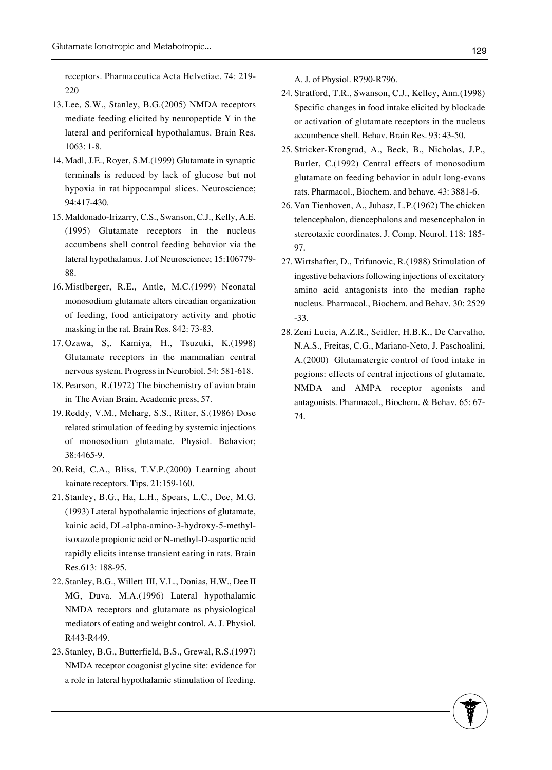receptors. Pharmaceutica Acta Helvetiae. 74: 219- 220

- 13. Lee, S.W., Stanley, B.G.(2005) NMDA receptors mediate feeding elicited by neuropeptide Y in the lateral and perifornical hypothalamus. Brain Res. 1063: 1-8.
- 14. Madl, J.E., Royer, S.M.(1999) Glutamate in synaptic terminals is reduced by lack of glucose but not hypoxia in rat hippocampal slices. Neuroscience; 94:417-430.
- 15. Maldonado-Irizarry, C.S., Swanson, C.J., Kelly, A.E. (1995) Glutamate receptors in the nucleus accumbens shell control feeding behavior via the lateral hypothalamus. J.of Neuroscience; 15:106779- 88.
- 16. Mistlberger, R.E., Antle, M.C.(1999) Neonatal monosodium glutamate alters circadian organization of feeding, food anticipatory activity and photic masking in the rat. Brain Res. 842: 73-83.
- 17. Ozawa, S,. Kamiya, H., Tsuzuki, K.(1998) Glutamate receptors in the mammalian central nervous system. Progress in Neurobiol. 54: 581-618.
- 18. Pearson, R.(1972) The biochemistry of avian brain in The Avian Brain, Academic press, 57.
- 19. Reddy, V.M., Meharg, S.S., Ritter, S.(1986) Dose related stimulation of feeding by systemic injections of monosodium glutamate. Physiol. Behavior; 38:4465-9.
- 20. Reid, C.A., Bliss, T.V.P.(2000) Learning about kainate receptors. Tips. 21:159-160.
- 21. Stanley, B.G., Ha, L.H., Spears, L.C., Dee, M.G. (1993) Lateral hypothalamic injections of glutamate, kainic acid, DL-alpha-amino-3-hydroxy-5-methylisoxazole propionic acid or N-methyl-D-aspartic acid rapidly elicits intense transient eating in rats. Brain Res.613: 188-95.
- 22. Stanley, B.G., Willett III, V.L., Donias, H.W., Dee II MG, Duva. M.A.(1996) Lateral hypothalamic NMDA receptors and glutamate as physiological mediators of eating and weight control. A. J. Physiol. R443-R449.
- 23. Stanley, B.G., Butterfield, B.S., Grewal, R.S.(1997) NMDA receptor coagonist glycine site: evidence for a role in lateral hypothalamic stimulation of feeding.

A. J. of Physiol. R790-R796.

- 24. Stratford, T.R., Swanson, C.J., Kelley, Ann.(1998) Specific changes in food intake elicited by blockade or activation of glutamate receptors in the nucleus accumbence shell. Behav. Brain Res. 93: 43-50.
- 25. Stricker-Krongrad, A., Beck, B., Nicholas, J.P., Burler, C.(1992) Central effects of monosodium glutamate on feeding behavior in adult long-evans rats. Pharmacol., Biochem. and behave. 43: 3881-6.
- 26. Van Tienhoven, A., Juhasz, L.P.(1962) The chicken telencephalon, diencephalons and mesencephalon in stereotaxic coordinates. J. Comp. Neurol. 118: 185- 97.
- 27. Wirtshafter, D., Trifunovic, R.(1988) Stimulation of ingestive behaviors following injections of excitatory amino acid antagonists into the median raphe nucleus. Pharmacol., Biochem. and Behav. 30: 2529 -33.
- 28. Zeni Lucia, A.Z.R., Seidler, H.B.K., De Carvalho, N.A.S., Freitas, C.G., Mariano-Neto, J. Paschoalini, A.(2000) Glutamatergic control of food intake in pegions: effects of central injections of glutamate, NMDA and AMPA receptor agonists and antagonists. Pharmacol., Biochem. & Behav. 65: 67- 74.